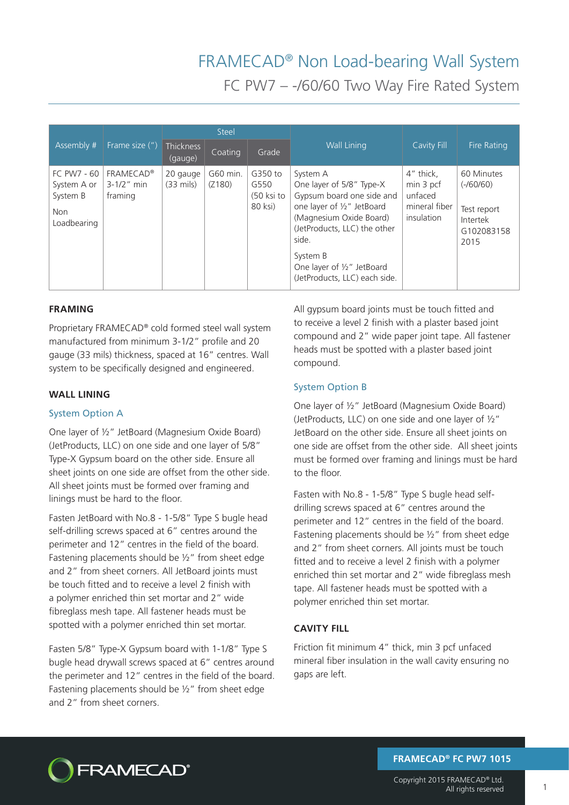# FRAMECAD® Non Load-bearing Wall System

FC PW7 – -/60/60 Two Way Fire Rated System

|                                                                                                                       |                                  | <b>Steel</b>       |                                          |                                                                                                                                                                                                                                                |                                                                  |                                                                            |
|-----------------------------------------------------------------------------------------------------------------------|----------------------------------|--------------------|------------------------------------------|------------------------------------------------------------------------------------------------------------------------------------------------------------------------------------------------------------------------------------------------|------------------------------------------------------------------|----------------------------------------------------------------------------|
| Assembly #<br>Frame size (")                                                                                          | <b>Thickness</b><br>(gauge)      | Coating            | Grade                                    | <b>Wall Lining</b>                                                                                                                                                                                                                             | Cavity Fill                                                      | <b>Fire Rating</b>                                                         |
| FC PW7 - 60<br><b>FRAMECAD®</b><br>$3 - 1/2$ " min<br>System A or<br>System B<br>framing<br><b>Non</b><br>Loadbearing | 20 gauge<br>$(33 \text{ miles})$ | G60 min.<br>(Z180) | G350 to<br>G550<br>(50 ksi to<br>80 ksi) | System A<br>One layer of 5/8" Type-X<br>Gypsum board one side and<br>one layer of 1/2" JetBoard<br>(Magnesium Oxide Board)<br>(JetProducts, LLC) the other<br>side.<br>System B<br>One layer of 1/2" JetBoard<br>(JetProducts, LLC) each side. | 4" thick,<br>min 3 pcf<br>unfaced<br>mineral fiber<br>insulation | 60 Minutes<br>$(-/60/60)$<br>Test report<br>Intertek<br>G102083158<br>2015 |

## **FRAMING**

Proprietary FRAMECAD® cold formed steel wall system manufactured from minimum 3-1/2" profile and 20 gauge (33 mils) thickness, spaced at 16" centres. Wall system to be specifically designed and engineered.

### **WALL LINING**

#### System Option A

One layer of ½" JetBoard (Magnesium Oxide Board) (JetProducts, LLC) on one side and one layer of 5/8" Type-X Gypsum board on the other side. Ensure all sheet joints on one side are offset from the other side. All sheet joints must be formed over framing and linings must be hard to the floor.

Fasten JetBoard with No.8 - 1-5/8" Type S bugle head self-drilling screws spaced at 6" centres around the perimeter and 12" centres in the field of the board. Fastening placements should be ½" from sheet edge and 2" from sheet corners. All JetBoard joints must be touch fitted and to receive a level 2 finish with a polymer enriched thin set mortar and 2" wide fibreglass mesh tape. All fastener heads must be spotted with a polymer enriched thin set mortar.

Fasten 5/8" Type-X Gypsum board with 1-1/8" Type S bugle head drywall screws spaced at 6" centres around the perimeter and 12" centres in the field of the board. Fastening placements should be  $\frac{1}{2}$ " from sheet edge and 2" from sheet corners.

All gypsum board joints must be touch fitted and to receive a level 2 finish with a plaster based joint compound and 2" wide paper joint tape. All fastener heads must be spotted with a plaster based joint compound.

## System Option B

One layer of ½" JetBoard (Magnesium Oxide Board) (JetProducts, LLC) on one side and one layer of ½" JetBoard on the other side. Ensure all sheet joints on one side are offset from the other side. All sheet joints must be formed over framing and linings must be hard to the floor.

Fasten with No.8 - 1-5/8" Type S bugle head selfdrilling screws spaced at 6" centres around the perimeter and 12" centres in the field of the board. Fastening placements should be ½" from sheet edge and 2" from sheet corners. All joints must be touch fitted and to receive a level 2 finish with a polymer enriched thin set mortar and 2" wide fibreglass mesh tape. All fastener heads must be spotted with a polymer enriched thin set mortar.

## **CAVITY FILL**

Friction fit minimum 4" thick, min 3 pcf unfaced mineral fiber insulation in the wall cavity ensuring no gaps are left.



**FRAMECAD® FC PW7 1015**